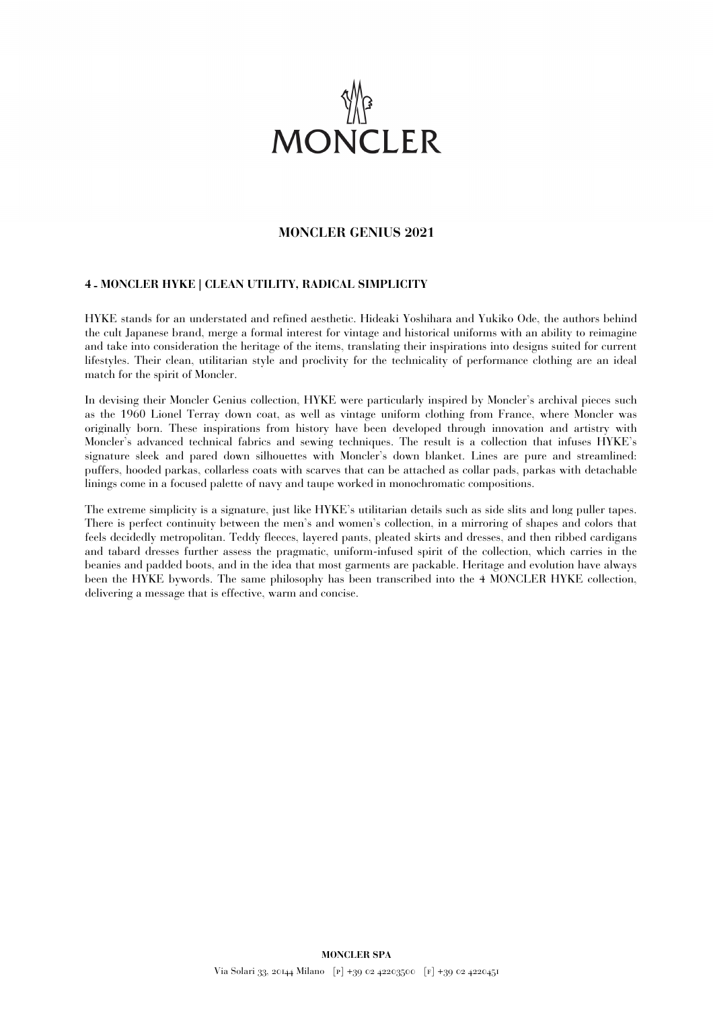

## **MONCLER GENIUS 2021**

## **4 - MONCLER HYKE | CLEAN UTILITY, RADICAL SIMPLICITY**

HYKE stands for an understated and refined aesthetic. Hideaki Yoshihara and Yukiko Ode, the authors behind the cult Japanese brand, merge a formal interest for vintage and historical uniforms with an ability to reimagine and take into consideration the heritage of the items, translating their inspirations into designs suited for current lifestyles. Their clean, utilitarian style and proclivity for the technicality of performance clothing are an ideal match for the spirit of Moncler.

In devising their Moncler Genius collection, HYKE were particularly inspired by Moncler's archival pieces such as the 1960 Lionel Terray down coat, as well as vintage uniform clothing from France, where Moncler was originally born. These inspirations from history have been developed through innovation and artistry with Moncler's advanced technical fabrics and sewing techniques. The result is a collection that infuses HYKE's signature sleek and pared down silhouettes with Moncler's down blanket. Lines are pure and streamlined: puffers, hooded parkas, collarless coats with scarves that can be attached as collar pads, parkas with detachable linings come in a focused palette of navy and taupe worked in monochromatic compositions.

The extreme simplicity is a signature, just like HYKE's utilitarian details such as side slits and long puller tapes. There is perfect continuity between the men's and women's collection, in a mirroring of shapes and colors that feels decidedly metropolitan. Teddy fleeces, layered pants, pleated skirts and dresses, and then ribbed cardigans and tabard dresses further assess the pragmatic, uniform-infused spirit of the collection, which carries in the beanies and padded boots, and in the idea that most garments are packable. Heritage and evolution have always been the HYKE bywords. The same philosophy has been transcribed into the 4 MONCLER HYKE collection, delivering a message that is effective, warm and concise.